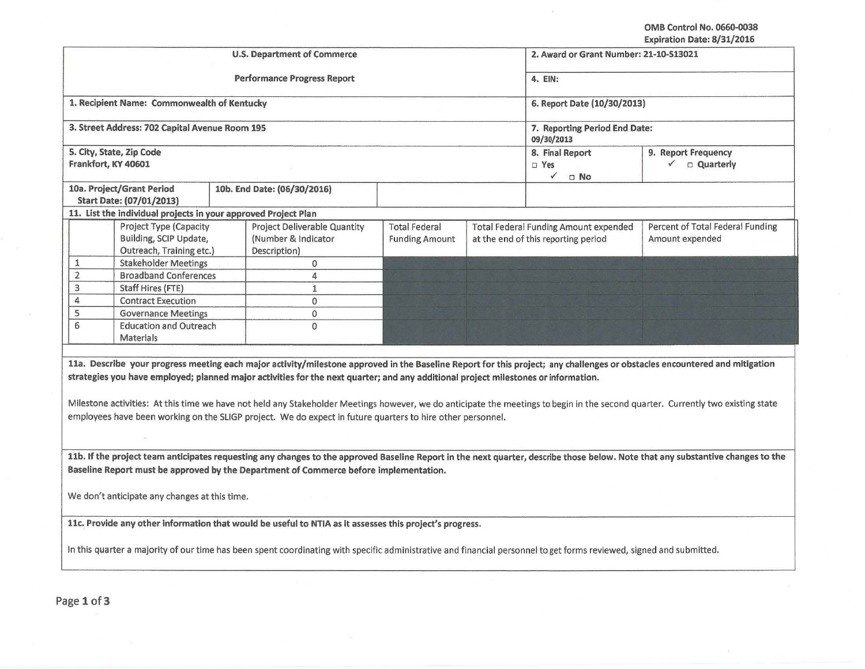OMB Control No. 0660.0038 Expiration Date: 8/31/2016

|                                                                              |                                                                                                                                                                                                                                                  |                                               |                                                                                     | Expiration Date: 0/51/2010                                                                                                                                                                                                                                                                                                                                     |
|------------------------------------------------------------------------------|--------------------------------------------------------------------------------------------------------------------------------------------------------------------------------------------------------------------------------------------------|-----------------------------------------------|-------------------------------------------------------------------------------------|----------------------------------------------------------------------------------------------------------------------------------------------------------------------------------------------------------------------------------------------------------------------------------------------------------------------------------------------------------------|
|                                                                              | <b>U.S. Department of Commerce</b>                                                                                                                                                                                                               |                                               | 2. Award or Grant Number: 21-10-513021                                              |                                                                                                                                                                                                                                                                                                                                                                |
|                                                                              | <b>Performance Progress Report</b>                                                                                                                                                                                                               |                                               | 4. EIN:                                                                             |                                                                                                                                                                                                                                                                                                                                                                |
| 1. Recipient Name: Commonwealth of Kentucky                                  |                                                                                                                                                                                                                                                  |                                               | 6. Report Date (10/30/2013)                                                         |                                                                                                                                                                                                                                                                                                                                                                |
| 3. Street Address: 702 Capital Avenue Room 195                               |                                                                                                                                                                                                                                                  |                                               | 7. Reporting Period End Date:<br>09/30/2013                                         |                                                                                                                                                                                                                                                                                                                                                                |
| 5. City, State, Zip Code<br>Frankfort, KY 40601                              |                                                                                                                                                                                                                                                  |                                               | 8. Final Report<br>$\Box$ Yes<br>$\checkmark$ o No                                  | 9. Report Frequency<br>$\checkmark$ $\Box$ Quarterly                                                                                                                                                                                                                                                                                                           |
| 10a. Project/Grant Period<br>Start Date: (07/01/2013)                        | 10b. End Date: (06/30/2016)                                                                                                                                                                                                                      |                                               |                                                                                     |                                                                                                                                                                                                                                                                                                                                                                |
| 11. List the individual projects in your approved Project Plan               |                                                                                                                                                                                                                                                  |                                               |                                                                                     |                                                                                                                                                                                                                                                                                                                                                                |
| Project Type (Capacity<br>Building, SCIP Update,<br>Outreach, Training etc.) | Project Deliverable Quantity<br>(Number & Indicator<br>Description)                                                                                                                                                                              | <b>Total Federal</b><br><b>Funding Amount</b> | <b>Total Federal Funding Amount expended</b><br>at the end of this reporting period | Percent of Total Federal Funding<br>Amount expended                                                                                                                                                                                                                                                                                                            |
| $1\,$<br><b>Stakeholder Meetings</b>                                         | $\pmb{0}$                                                                                                                                                                                                                                        |                                               |                                                                                     |                                                                                                                                                                                                                                                                                                                                                                |
| $\overline{2}$<br><b>Broadband Conferences</b>                               | $\overline{4}$                                                                                                                                                                                                                                   |                                               |                                                                                     |                                                                                                                                                                                                                                                                                                                                                                |
| 3<br><b>Staff Hires (FTE)</b>                                                | $\mathbf{1}$                                                                                                                                                                                                                                     |                                               |                                                                                     |                                                                                                                                                                                                                                                                                                                                                                |
| 4<br><b>Contract Execution</b>                                               | $\mathbf{O}$                                                                                                                                                                                                                                     |                                               |                                                                                     |                                                                                                                                                                                                                                                                                                                                                                |
| 5<br><b>Governance Meetings</b>                                              | $\Omega$                                                                                                                                                                                                                                         |                                               |                                                                                     |                                                                                                                                                                                                                                                                                                                                                                |
| 6<br><b>Education and Outreach</b>                                           | $\mathbf{0}$                                                                                                                                                                                                                                     |                                               |                                                                                     |                                                                                                                                                                                                                                                                                                                                                                |
| Materials                                                                    |                                                                                                                                                                                                                                                  |                                               |                                                                                     |                                                                                                                                                                                                                                                                                                                                                                |
|                                                                              |                                                                                                                                                                                                                                                  |                                               |                                                                                     |                                                                                                                                                                                                                                                                                                                                                                |
|                                                                              | strategies you have employed; planned major activities for the next quarter; and any additional project milestones or information.<br>employees have been working on the SLIGP project. We do expect in future quarters to hire other personnel. |                                               |                                                                                     | 11a. Describe your progress meeting each major activity/milestone approved in the Baseline Report for this project; any challenges or obstacles encountered and mitigation<br>Milestone activities: At this time we have not held any Stakeholder Meetings however, we do anticipate the meetings to begin in the second quarter. Currently two existing state |
|                                                                              | Baseline Report must be approved by the Department of Commerce before implementation.                                                                                                                                                            |                                               |                                                                                     | 11b. If the project team anticipates requesting any changes to the approved Baseline Report in the next quarter, describe those below. Note that any substantive changes to the                                                                                                                                                                                |
| We don't anticipate any changes at this time.                                |                                                                                                                                                                                                                                                  |                                               |                                                                                     |                                                                                                                                                                                                                                                                                                                                                                |
|                                                                              | 11c. Provide any other information that would be useful to NTIA as it assesses this project's progress.                                                                                                                                          |                                               |                                                                                     |                                                                                                                                                                                                                                                                                                                                                                |
|                                                                              | In this quarter a majority of our time has been spent coordinating with specific administrative and financial personnel to get forms reviewed, signed and submitted.                                                                             |                                               |                                                                                     |                                                                                                                                                                                                                                                                                                                                                                |
|                                                                              |                                                                                                                                                                                                                                                  |                                               |                                                                                     |                                                                                                                                                                                                                                                                                                                                                                |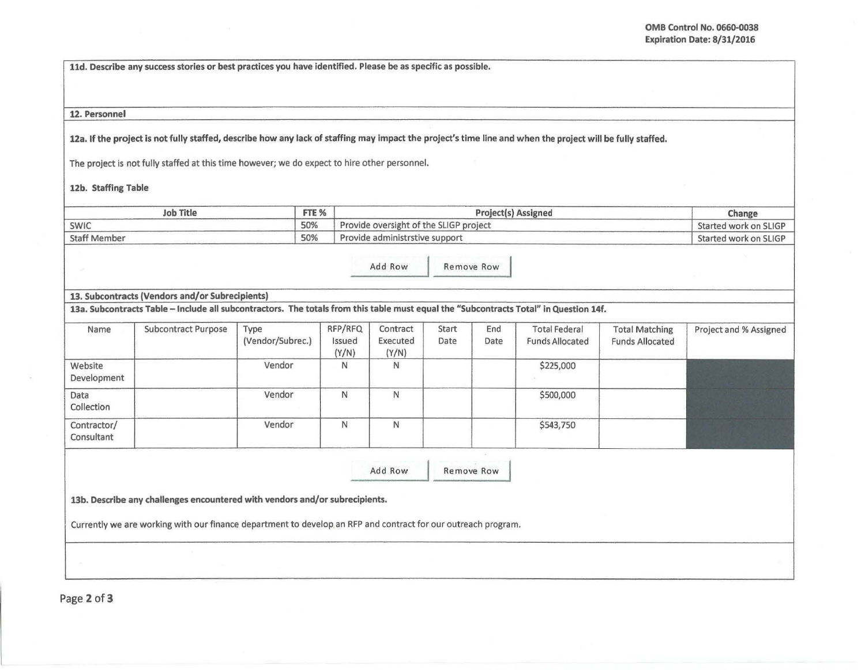lld. Describe any success stories or best practices you have identified. Please be as specific as possible.

## 12. Personnel

12a. If the project Is not fully staffed, describe how any lack of staffing may impact the project's time line and when the project will be fully staffed.

The project is not fully staffed at this time however; we do expect to hire other personnel.

## 12b. Staffing Table

| Job Title           | FTE % | <b>Project(s) Assigned</b>             | Change                |
|---------------------|-------|----------------------------------------|-----------------------|
| SWIC                | 50%   | Provide oversight of the SLIGP project | Started work on SLIGP |
| <b>Staff Member</b> | 50%   | Provide administrstive support         | Started work on SLIGP |

Add Row Remove Row

## 13. Subcontracts (Vendors and/or Subrecipients)

13a. Subcontracts Table -Include all subcontractors. The totals from this table must equal the "Subcontracts Total" in Question 14f.

| Name                      | <b>Subcontract Purpose</b> | Type<br>(Vendor/Subrec.) | RFP/RFQ<br>Issued<br>(Y/N) | Contract<br>Executed<br>(Y/N) | Start<br>Date | End<br>Date | <b>Total Federal</b><br><b>Funds Allocated</b> | <b>Total Matching</b><br><b>Funds Allocated</b> | Project and % Assigned |
|---------------------------|----------------------------|--------------------------|----------------------------|-------------------------------|---------------|-------------|------------------------------------------------|-------------------------------------------------|------------------------|
| Website<br>Development    |                            | Vendor                   | N                          | N                             |               |             | \$225,000                                      |                                                 |                        |
| Data<br>Collection        |                            | Vendor                   | N                          | Ν                             |               |             | \$500,000                                      |                                                 |                        |
| Contractor/<br>Consultant |                            | Vendor                   | N                          | N                             |               |             | \$543,750                                      |                                                 |                        |

| Add Row | Remove Row |
|---------|------------|

13b. Describe any challenges encountered with vendors and/or subrecipients.

Currently we are working with our finance department to develop an RFP and contract for our outreach program.

Page 2 of 3